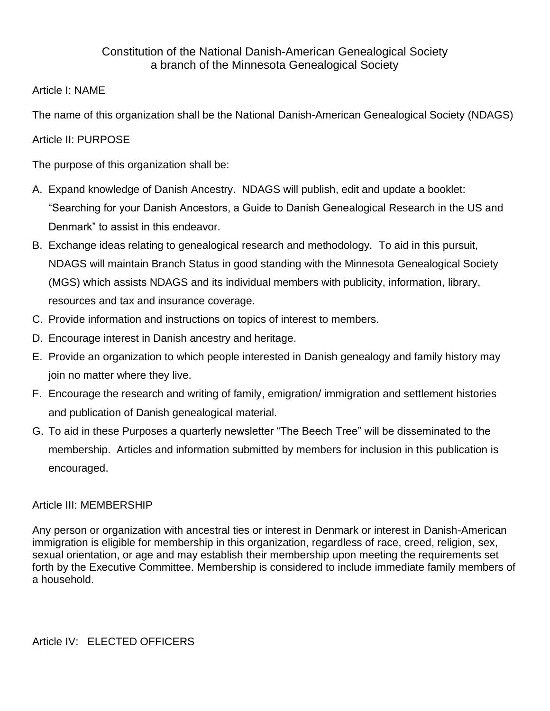## Constitution of the National Danish-American Genealogical Society a branch of the Minnesota Genealogical Society

## Article I: NAME

The name of this organization shall be the National Danish-American Genealogical Society (NDAGS)

## Article II: PURPOSE

The purpose of this organization shall be:

- A. Expand knowledge of Danish Ancestry. NDAGS will publish, edit and update a booklet: "Searching for your Danish Ancestors, a Guide to Danish Genealogical Research in the US and Denmark" to assist in this endeavor.
- B. Exchange ideas relating to genealogical research and methodology. To aid in this pursuit, NDAGS will maintain Branch Status in good standing with the Minnesota Genealogical Society (MGS) which assists NDAGS and its individual members with publicity, information, library, resources and tax and insurance coverage.
- C. Provide information and instructions on topics of interest to members.
- D. Encourage interest in Danish ancestry and heritage.
- E. Provide an organization to which people interested in Danish genealogy and family history may join no matter where they live.
- F. Encourage the research and writing of family, emigration/ immigration and settlement histories and publication of Danish genealogical material.
- G. To aid in these Purposes a quarterly newsletter "The Beech Tree" will be disseminated to the membership. Articles and information submitted by members for inclusion in this publication is encouraged.

## Article III: MEMBERSHIP

Any person or organization with ancestral ties or interest in Denmark or interest in Danish-American immigration is eligible for membership in this organization, regardless of race, creed, religion, sex, sexual orientation, or age and may establish their membership upon meeting the requirements set forth by the Executive Committee. Membership is considered to include immediate family members of a household.

Article IV: ELECTED OFFICERS